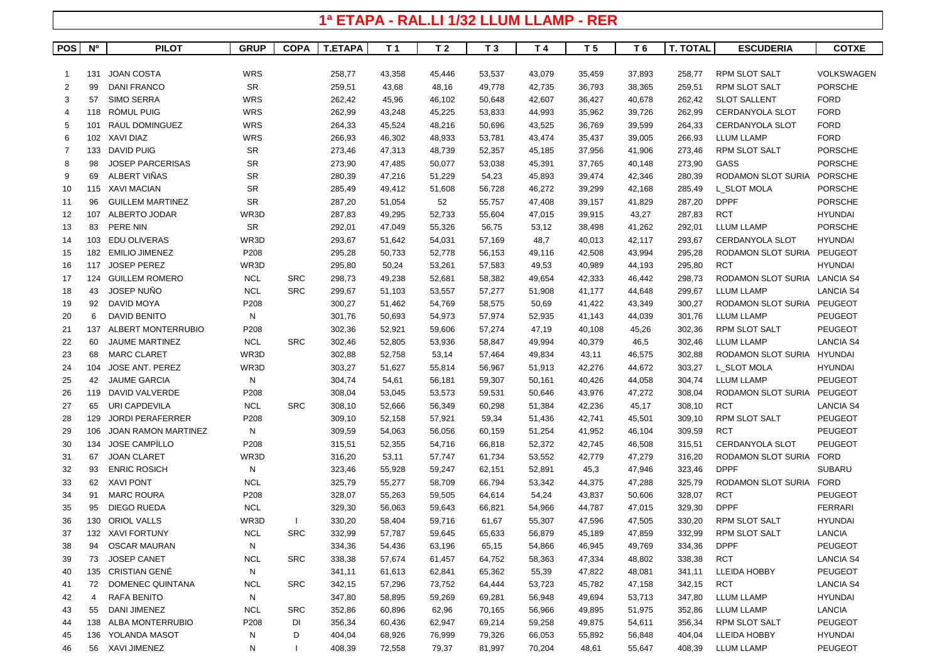## **1ª ETAPA - RAL.LI 1/32 LLUM LLAMP - RER**

| <b>POS</b>     | <b>N°</b> | <b>PILOT</b>               | <b>GRUP</b> | <b>COPA</b> | <b>T.ETAPA</b> | T <sub>1</sub> | T <sub>2</sub> | T <sub>3</sub> | T 4    | T 5    | T 6    | <b>T. TOTAL</b> | <b>ESCUDERIA</b>             | <b>COTXE</b>      |
|----------------|-----------|----------------------------|-------------|-------------|----------------|----------------|----------------|----------------|--------|--------|--------|-----------------|------------------------------|-------------------|
|                |           |                            |             |             |                |                |                |                |        |        |        |                 |                              |                   |
| -1             | 131       | <b>JOAN COSTA</b>          | <b>WRS</b>  |             | 258,77         | 43,358         | 45,446         | 53,537         | 43,079 | 35,459 | 37,893 | 258,77          | <b>RPM SLOT SALT</b>         | <b>VOLKSWAGEN</b> |
| 2              | 99        | <b>DANI FRANCO</b>         | <b>SR</b>   |             | 259,51         | 43,68          | 48,16          | 49,778         | 42,735 | 36,793 | 38,365 | 259,51          | <b>RPM SLOT SALT</b>         | <b>PORSCHE</b>    |
| 3              | 57        | <b>SIMO SERRA</b>          | WRS         |             | 262,42         | 45,96          | 46,102         | 50,648         | 42,607 | 36,427 | 40,678 | 262,42          | <b>SLOT SALLENT</b>          | <b>FORD</b>       |
| $\overline{4}$ | 118       | RÒMUL PUIG                 | <b>WRS</b>  |             | 262,99         | 43,248         | 45,225         | 53,833         | 44,993 | 35,962 | 39,726 | 262,99          | <b>CERDANYOLA SLOT</b>       | <b>FORD</b>       |
| 5              | 101       | RAUL DOMINGUEZ             | <b>WRS</b>  |             | 264,33         | 45,524         | 48,216         | 50,696         | 43,525 | 36,769 | 39,599 | 264,33          | <b>CERDANYOLA SLOT</b>       | <b>FORD</b>       |
| 6              | 102       | XAVI DIAZ                  | <b>WRS</b>  |             | 266,93         | 46,302         | 48,933         | 53,781         | 43,474 | 35,437 | 39,005 | 266,93          | <b>LLUM LLAMP</b>            | <b>FORD</b>       |
| 7              | 133       | DAVID PUIG                 | <b>SR</b>   |             | 273,46         | 47,313         | 48,739         | 52,357         | 45,185 | 37,956 | 41,906 | 273,46          | <b>RPM SLOT SALT</b>         | <b>PORSCHE</b>    |
| 8              | 98        | <b>JOSEP PARCERISAS</b>    | <b>SR</b>   |             | 273,90         | 47,485         | 50,077         | 53,038         | 45,391 | 37,765 | 40,148 | 273,90          | GASS                         | <b>PORSCHE</b>    |
| 9              | 69        | ALBERT VIÑAS               | SR          |             | 280,39         | 47,216         | 51,229         | 54,23          | 45,893 | 39,474 | 42,346 | 280,39          | RODAMON SLOT SURIA           | <b>PORSCHE</b>    |
| 10             |           | 115 XAVI MACIAN            | <b>SR</b>   |             | 285,49         | 49,412         | 51,608         | 56,728         | 46,272 | 39,299 | 42,168 | 285,49          | L_SLOT MOLA                  | <b>PORSCHE</b>    |
| 11             | 96        | <b>GUILLEM MARTINEZ</b>    | <b>SR</b>   |             | 287,20         | 51,054         | 52             | 55,757         | 47,408 | 39,157 | 41,829 | 287,20          | <b>DPPF</b>                  | <b>PORSCHE</b>    |
| 12             | 107       | ALBERTO JODAR              | WR3D        |             | 287,83         | 49,295         | 52,733         | 55,604         | 47,015 | 39,915 | 43,27  | 287,83          | <b>RCT</b>                   | <b>HYUNDAI</b>    |
| 13             | 83        | PERE NIN                   | <b>SR</b>   |             | 292,01         | 47,049         | 55,326         | 56,75          | 53,12  | 38,498 | 41,262 | 292,01          | <b>LLUM LLAMP</b>            | <b>PORSCHE</b>    |
| 14             | 103       | <b>EDU OLIVERAS</b>        | WR3D        |             | 293,67         | 51,642         | 54,031         | 57,169         | 48,7   | 40,013 | 42,117 | 293,67          | <b>CERDANYOLA SLOT</b>       | <b>HYUNDAI</b>    |
| 15             | 182       | <b>EMILIO JIMENEZ</b>      | P208        |             | 295,28         | 50,733         | 52,778         | 56,153         | 49,116 | 42,508 | 43,994 | 295,28          | RODAMON SLOT SURIA           | PEUGEOT           |
| 16             | 117       | <b>JOSEP PEREZ</b>         | WR3D        |             | 295,80         | 50,24          | 53,261         | 57,583         | 49,53  | 40,989 | 44,193 | 295,80          | <b>RCT</b>                   | <b>HYUNDAI</b>    |
| 17             | 124       | <b>GUILLEM ROMERO</b>      | <b>NCL</b>  | <b>SRC</b>  | 298,73         | 49,238         | 52,681         | 58,382         | 49,654 | 42,333 | 46,442 | 298,73          | RODAMON SLOT SURIA LANCIA S4 |                   |
| 18             | 43        | <b>JOSEP NUNO</b>          | <b>NCL</b>  | <b>SRC</b>  | 299,67         | 51,103         | 53,557         | 57,277         | 51,908 | 41,177 | 44,648 | 299,67          | <b>LLUM LLAMP</b>            | <b>LANCIA S4</b>  |
| 19             | 92        | DAVID MOYA                 | P208        |             | 300,27         | 51,462         | 54,769         | 58,575         | 50,69  | 41,422 | 43,349 | 300,27          | <b>RODAMON SLOT SURIA</b>    | PEUGEOT           |
| 20             | 6         | <b>DAVID BENITO</b>        | N           |             | 301,76         | 50,693         | 54,973         | 57,974         | 52,935 | 41,143 | 44,039 | 301,76          | <b>LLUM LLAMP</b>            | <b>PEUGEOT</b>    |
| 21             | 137       | ALBERT MONTERRUBIO         | P208        |             | 302,36         | 52,921         | 59,606         | 57,274         | 47,19  | 40,108 | 45,26  | 302,36          | RPM SLOT SALT                | PEUGEOT           |
| 22             | 60        | <b>JAUME MARTINEZ</b>      | <b>NCL</b>  | <b>SRC</b>  | 302,46         | 52,805         | 53,936         | 58,847         | 49,994 | 40,379 | 46,5   | 302,46          | <b>LLUM LLAMP</b>            | <b>LANCIA S4</b>  |
| 23             | 68        | <b>MARC CLARET</b>         | WR3D        |             | 302,88         | 52,758         | 53,14          | 57,464         | 49,834 | 43,11  | 46,575 | 302,88          | RODAMON SLOT SURIA           | <b>HYUNDAI</b>    |
| 24             | 104       | <b>JOSE ANT. PEREZ</b>     | WR3D        |             | 303,27         | 51,627         | 55,814         | 56,967         | 51,913 | 42,276 | 44,672 | 303,27          | L_SLOT MOLA                  | <b>HYUNDAI</b>    |
| 25             | 42        | <b>JAUME GARCIA</b>        | N           |             | 304,74         | 54,61          | 56,181         | 59,307         | 50,161 | 40,426 | 44,058 | 304,74          | <b>LLUM LLAMP</b>            | <b>PEUGEOT</b>    |
| 26             | 119       | DAVID VALVERDE             | P208        |             | 308,04         | 53,045         | 53,573         | 59,531         | 50,646 | 43,976 | 47,272 | 308,04          | RODAMON SLOT SURIA           | PEUGEOT           |
| 27             | 65        | URI CAPDEVILA              | <b>NCL</b>  | <b>SRC</b>  | 308,10         | 52,666         | 56,349         | 60,298         | 51,384 | 42,236 | 45,17  | 308,10          | <b>RCT</b>                   | <b>LANCIA S4</b>  |
| 28             | 129       | <b>JORDI PERAFERRER</b>    | P208        |             | 309,10         | 52,158         | 57,921         | 59,34          | 51,436 | 42,741 | 45,501 | 309,10          | RPM SLOT SALT                | PEUGEOT           |
| 29             | 106       | <b>JOAN RAMON MARTINEZ</b> | N           |             | 309,59         | 54,063         | 56,056         | 60,159         | 51,254 | 41,952 | 46,104 | 309,59          | <b>RCT</b>                   | <b>PEUGEOT</b>    |
| 30             | 134       | <b>JOSE CAMPILLO</b>       | P208        |             | 315,51         | 52,355         | 54,716         | 66,818         | 52,372 | 42,745 | 46,508 | 315,51          | <b>CERDANYOLA SLOT</b>       | <b>PEUGEOT</b>    |
| 31             | 67        | <b>JOAN CLARET</b>         | WR3D        |             | 316,20         | 53,11          | 57,747         | 61,734         | 53,552 | 42,779 | 47,279 | 316,20          | RODAMON SLOT SURIA           | <b>FORD</b>       |
| 32             | 93        | <b>ENRIC ROSICH</b>        | N           |             | 323,46         | 55,928         | 59,247         | 62,151         | 52,891 | 45,3   | 47,946 | 323,46          | <b>DPPF</b>                  | <b>SUBARU</b>     |
| 33             | 62        | <b>XAVI PONT</b>           | <b>NCL</b>  |             | 325,79         | 55,277         | 58,709         | 66,794         | 53,342 | 44,375 | 47,288 | 325,79          | RODAMON SLOT SURIA           | <b>FORD</b>       |
| 34             | 91        | <b>MARC ROURA</b>          | P208        |             | 328,07         | 55,263         | 59,505         | 64,614         | 54,24  | 43,837 | 50,606 | 328,07          | <b>RCT</b>                   | <b>PEUGEOT</b>    |
| 35             | 95        | DIEGO RUEDA                | <b>NCL</b>  |             | 329,30         | 56,063         | 59,643         | 66,821         | 54,966 | 44,787 | 47,015 | 329,30          | <b>DPPF</b>                  | <b>FERRARI</b>    |
| 36             | 130       | <b>ORIOL VALLS</b>         | WR3D        |             | 330,20         | 58,404         | 59,716         | 61,67          | 55,307 | 47,596 | 47,505 | 330,20          | <b>RPM SLOT SALT</b>         | <b>HYUNDAI</b>    |
| 37             |           | 132 XAVI FORTUNY           | <b>NCL</b>  | <b>SRC</b>  | 332,99         | 57,787         | 59,645         | 65,633         | 56,879 | 45,189 | 47,859 | 332,99          | <b>RPM SLOT SALT</b>         | LANCIA            |
| 38             | 94        | <b>OSCAR MAURAN</b>        | N           |             | 334,36         | 54,436         | 63,196         | 65,15          | 54,866 | 46,945 | 49,769 | 334,36          | <b>DPPF</b>                  | <b>PEUGEOT</b>    |
| 39             | 73        | <b>JOSEP CANET</b>         | <b>NCL</b>  | <b>SRC</b>  | 338,38         | 57,674         | 61,457         | 64,752         | 58,363 | 47,334 | 48,802 | 338,38          | RCT                          | <b>LANCIA S4</b>  |
| 40             |           | 135 CRISTIAN GENÉ          | N           |             | 341,11         | 61,613         | 62,841         | 65,362         | 55,39  | 47,822 | 48,081 | 341,11          | LLEIDA HOBBY                 | <b>PEUGEOT</b>    |
| 41             | 72        | DOMENEC QUINTANA           | <b>NCL</b>  | <b>SRC</b>  | 342,15         | 57,296         | 73,752         | 64,444         | 53,723 | 45,782 | 47,158 | 342,15          | RCT                          | <b>LANCIA S4</b>  |
| 42             | 4         | RAFA BENITO                | N           |             | 347,80         | 58,895         | 59,269         | 69,281         | 56,948 | 49,694 | 53,713 | 347,80          | <b>LLUM LLAMP</b>            | <b>HYUNDAI</b>    |
| 43             | 55        | DANI JIMENEZ               | <b>NCL</b>  | <b>SRC</b>  | 352,86         | 60,896         | 62,96          | 70,165         | 56,966 | 49,895 | 51,975 | 352,86          | <b>LLUM LLAMP</b>            | LANCIA            |
| 44             | 138       | ALBA MONTERRUBIO           | P208        | DI          | 356,34         | 60,436         | 62,947         | 69,214         | 59,258 | 49,875 | 54,611 | 356,34          | <b>RPM SLOT SALT</b>         | <b>PEUGEOT</b>    |
| 45             | 136       | YOLANDA MASOT              | N           | D           | 404,04         | 68,926         | 76,999         | 79,326         | 66,053 | 55,892 | 56,848 | 404,04          | <b>LLEIDA HOBBY</b>          | <b>HYUNDAI</b>    |
| 46             |           | 56 XAVI JIMENEZ            | N           |             | 408,39         | 72,558         | 79,37          | 81,997         | 70,204 | 48,61  | 55,647 | 408,39          | <b>LLUM LLAMP</b>            | PEUGEOT           |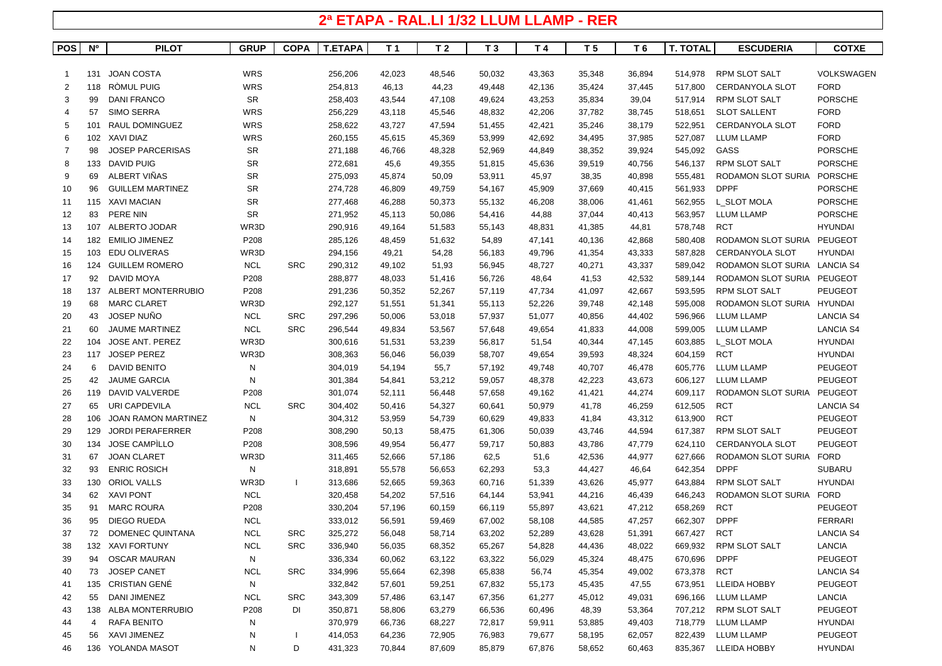## **2ª ETAPA - RAL.LI 1/32 LLUM LLAMP - RER**

| <b>POS</b> | <b>N°</b> | <b>PILOT</b>               | <b>GRUP</b> | <b>COPA</b> | <b>T.ETAPA</b> | T 1    | T <sub>2</sub> | T <sub>3</sub> | T 4    | T <sub>5</sub> | T <sub>6</sub> | <b>T. TOTAL</b> | <b>ESCUDERIA</b>             | <b>COTXE</b>      |
|------------|-----------|----------------------------|-------------|-------------|----------------|--------|----------------|----------------|--------|----------------|----------------|-----------------|------------------------------|-------------------|
|            |           |                            |             |             |                |        |                |                |        |                |                |                 |                              |                   |
|            | 131       | <b>JOAN COSTA</b>          | <b>WRS</b>  |             | 256,206        | 42,023 | 48,546         | 50,032         | 43,363 | 35,348         | 36,894         | 514,978         | <b>RPM SLOT SALT</b>         | <b>VOLKSWAGEN</b> |
| 2          | 118       | RÒMUL PUIG                 | WRS         |             | 254,813        | 46,13  | 44,23          | 49,448         | 42,136 | 35,424         | 37,445         | 517,800         | <b>CERDANYOLA SLOT</b>       | <b>FORD</b>       |
| 3          | 99        | <b>DANI FRANCO</b>         | <b>SR</b>   |             | 258,403        | 43,544 | 47,108         | 49,624         | 43,253 | 35,834         | 39,04          | 517,914         | <b>RPM SLOT SALT</b>         | <b>PORSCHE</b>    |
| 4          | 57        | <b>SIMO SERRA</b>          | WRS         |             | 256,229        | 43,118 | 45,546         | 48,832         | 42,206 | 37,782         | 38,745         | 518,651         | <b>SLOT SALLENT</b>          | <b>FORD</b>       |
| 5          | 101       | RAUL DOMINGUEZ             | WRS         |             | 258,622        | 43,727 | 47,594         | 51,455         | 42,421 | 35,246         | 38,179         | 522,951         | <b>CERDANYOLA SLOT</b>       | <b>FORD</b>       |
| 6          | 102       | XAVI DIAZ                  | <b>WRS</b>  |             | 260,155        | 45,615 | 45,369         | 53,999         | 42,692 | 34,495         | 37,985         | 527,087         | <b>LLUM LLAMP</b>            | <b>FORD</b>       |
| 7          | 98        | <b>JOSEP PARCERISAS</b>    | <b>SR</b>   |             | 271,188        | 46,766 | 48,328         | 52,969         | 44,849 | 38,352         | 39,924         | 545,092         | GASS                         | <b>PORSCHE</b>    |
| 8          | 133       | <b>DAVID PUIG</b>          | <b>SR</b>   |             | 272,681        | 45,6   | 49,355         | 51,815         | 45,636 | 39,519         | 40,756         | 546,137         | <b>RPM SLOT SALT</b>         | <b>PORSCHE</b>    |
| 9          | 69        | ALBERT VIÑAS               | <b>SR</b>   |             | 275,093        | 45,874 | 50,09          | 53,911         | 45,97  | 38,35          | 40,898         | 555,481         | <b>RODAMON SLOT SURIA</b>    | <b>PORSCHE</b>    |
| 10         | 96        | <b>GUILLEM MARTINEZ</b>    | <b>SR</b>   |             | 274,728        | 46,809 | 49,759         | 54,167         | 45,909 | 37,669         | 40,415         | 561,933         | <b>DPPF</b>                  | <b>PORSCHE</b>    |
| 11         |           | 115 XAVI MACIAN            | <b>SR</b>   |             | 277,468        | 46,288 | 50,373         | 55,132         | 46,208 | 38,006         | 41,461         | 562,955         | L_SLOT MOLA                  | <b>PORSCHE</b>    |
| 12         | 83        | PERE NIN                   | <b>SR</b>   |             | 271,952        | 45,113 | 50,086         | 54,416         | 44,88  | 37,044         | 40,413         | 563,957         | <b>LLUM LLAMP</b>            | <b>PORSCHE</b>    |
| 13         | 107       | ALBERTO JODAR              | WR3D        |             | 290,916        | 49,164 | 51,583         | 55,143         | 48,831 | 41,385         | 44,81          | 578,748         | <b>RCT</b>                   | <b>HYUNDAI</b>    |
| 14         | 182       | <b>EMILIO JIMENEZ</b>      | P208        |             | 285,126        | 48,459 | 51,632         | 54,89          | 47,141 | 40,136         | 42,868         | 580,408         | RODAMON SLOT SURIA PEUGEOT   |                   |
| 15         | 103       | <b>EDU OLIVERAS</b>        | WR3D        |             | 294,156        | 49,21  | 54,28          | 56,183         | 49,796 | 41,354         | 43,333         | 587,828         | <b>CERDANYOLA SLOT</b>       | <b>HYUNDAI</b>    |
| 16         | 124       | <b>GUILLEM ROMERO</b>      | <b>NCL</b>  | <b>SRC</b>  | 290,312        | 49,102 | 51,93          | 56,945         | 48,727 | 40,271         | 43,337         | 589,042         | RODAMON SLOT SURIA LANCIA S4 |                   |
| 17         | 92        | DAVID MOYA                 | P208        |             | 288,877        | 48,033 | 51,416         | 56,726         | 48,64  | 41,53          | 42,532         | 589,144         | RODAMON SLOT SURIA PEUGEOT   |                   |
| 18         | 137       | ALBERT MONTERRUBIO         | P208        |             | 291,236        | 50,352 | 52,267         | 57,119         | 47,734 | 41,097         | 42,667         | 593,595         | <b>RPM SLOT SALT</b>         | <b>PEUGEOT</b>    |
| 19         | 68        | <b>MARC CLARET</b>         | WR3D        |             | 292,127        | 51,551 | 51,341         | 55,113         | 52,226 | 39,748         | 42,148         | 595,008         | RODAMON SLOT SURIA           | HYUNDAI           |
| 20         | 43        | JOSEP NUÑO                 | <b>NCL</b>  | <b>SRC</b>  | 297,296        | 50,006 | 53,018         | 57,937         | 51,077 | 40,856         | 44,402         | 596,966         | <b>LLUM LLAMP</b>            | <b>LANCIA S4</b>  |
| 21         | 60        | <b>JAUME MARTINEZ</b>      | <b>NCL</b>  | <b>SRC</b>  | 296,544        | 49,834 | 53,567         | 57,648         | 49,654 | 41,833         | 44,008         | 599,005         | <b>LLUM LLAMP</b>            | <b>LANCIA S4</b>  |
| 22         | 104       | <b>JOSE ANT. PEREZ</b>     | WR3D        |             | 300,616        | 51,531 | 53,239         | 56,817         | 51,54  | 40,344         | 47,145         | 603,885         | L_SLOT MOLA                  | <b>HYUNDAI</b>    |
| 23         | 117       | <b>JOSEP PEREZ</b>         | WR3D        |             | 308,363        | 56,046 | 56,039         | 58,707         | 49,654 | 39,593         | 48,324         | 604,159         | <b>RCT</b>                   | <b>HYUNDAI</b>    |
| 24         | 6         | <b>DAVID BENITO</b>        | N           |             | 304,019        | 54,194 | 55,7           | 57,192         | 49,748 | 40,707         | 46,478         | 605,776         | <b>LLUM LLAMP</b>            | <b>PEUGEOT</b>    |
| 25         | 42        | <b>JAUME GARCIA</b>        | N           |             | 301,384        | 54,841 | 53,212         | 59,057         | 48,378 | 42,223         | 43,673         | 606,127         | <b>LLUM LLAMP</b>            | <b>PEUGEOT</b>    |
| 26         | 119       | DAVID VALVERDE             | P208        |             | 301,074        | 52,111 | 56,448         | 57,658         | 49,162 | 41,421         | 44,274         | 609,117         | RODAMON SLOT SURIA PEUGEOT   |                   |
| 27         | 65        | URI CAPDEVILA              | <b>NCL</b>  | <b>SRC</b>  | 304,402        | 50,416 | 54,327         | 60,641         | 50,979 | 41,78          | 46,259         | 612,505         | <b>RCT</b>                   | <b>LANCIA S4</b>  |
| 28         | 106       | <b>JOAN RAMON MARTINEZ</b> | ${\sf N}$   |             | 304,312        | 53,959 | 54,739         | 60,629         | 49,833 | 41,84          | 43,312         | 613,900         | <b>RCT</b>                   | <b>PEUGEOT</b>    |
| 29         | 129       | <b>JORDI PERAFERRER</b>    | P208        |             | 308,290        | 50,13  | 58,475         | 61,306         | 50,039 | 43,746         | 44,594         | 617,387         | <b>RPM SLOT SALT</b>         | <b>PEUGEOT</b>    |
| 30         | 134       | <b>JOSE CAMPILLO</b>       | P208        |             | 308,596        | 49,954 | 56,477         | 59,717         | 50,883 | 43,786         | 47,779         | 624,110         | <b>CERDANYOLA SLOT</b>       | <b>PEUGEOT</b>    |
| 31         | 67        | <b>JOAN CLARET</b>         | WR3D        |             | 311,465        | 52,666 | 57,186         | 62,5           | 51,6   | 42,536         | 44,977         | 627,666         | RODAMON SLOT SURIA FORD      |                   |
| 32         | 93        | <b>ENRIC ROSICH</b>        | N           |             | 318,891        | 55,578 | 56,653         | 62,293         | 53,3   | 44,427         | 46,64          | 642,354         | <b>DPPF</b>                  | <b>SUBARU</b>     |
| 33         | 130       | <b>ORIOL VALLS</b>         | WR3D        |             | 313,686        | 52,665 | 59,363         | 60,716         | 51,339 | 43,626         | 45,977         | 643,884         | <b>RPM SLOT SALT</b>         | <b>HYUNDAI</b>    |
| 34         | 62        | <b>XAVI PONT</b>           | <b>NCL</b>  |             | 320,458        | 54,202 | 57,516         | 64,144         | 53,941 | 44,216         | 46,439         | 646,243         | RODAMON SLOT SURIA FORD      |                   |
| 35         | 91        | <b>MARC ROURA</b>          | P208        |             | 330,204        | 57,196 | 60,159         | 66,119         | 55,897 | 43,621         | 47,212         | 658,269         | <b>RCT</b>                   | <b>PEUGEOT</b>    |
| 36         | 95        | <b>DIEGO RUEDA</b>         | <b>NCL</b>  |             | 333,012        | 56,591 | 59,469         | 67,002         | 58,108 | 44,585         | 47,257         | 662,307         | <b>DPPF</b>                  | <b>FERRARI</b>    |
| 37         | 72        | DOMENEC QUINTANA           | <b>NCL</b>  | <b>SRC</b>  | 325,272        | 56,048 | 58,714         | 63,202         | 52,289 | 43,628         | 51,391         | 667,427         | <b>RCT</b>                   | <b>LANCIA S4</b>  |
| 38         |           | 132 XAVI FORTUNY           | <b>NCL</b>  | <b>SRC</b>  | 336,940        | 56,035 | 68,352         | 65,267         | 54,828 | 44,436         | 48,022         | 669,932         | RPM SLOT SALT                | <b>LANCIA</b>     |
| 39         |           | 94 OSCAR MAURAN            | N           |             | 336,334        | 60,062 | 63,122         | 63,322         | 56,029 | 45,324         | 48,475         | 670,696         | <b>DPPF</b>                  | <b>PEUGEOT</b>    |
| 40         | 73        | <b>JOSEP CANET</b>         | <b>NCL</b>  | <b>SRC</b>  | 334,996        | 55,664 | 62,398         | 65,838         | 56,74  | 45,354         | 49,002         | 673,378         | RCT                          | <b>LANCIA S4</b>  |
| 41         |           | 135 CRISTIAN GENÉ          | N           |             | 332,842        | 57,601 | 59,251         | 67,832         | 55,173 | 45,435         | 47,55          | 673,951         | LLEIDA HOBBY                 | <b>PEUGEOT</b>    |
| 42         | 55        | DANI JIMENEZ               | <b>NCL</b>  | <b>SRC</b>  | 343,309        | 57,486 | 63,147         | 67,356         | 61,277 | 45,012         | 49,031         | 696,166         | <b>LLUM LLAMP</b>            | LANCIA            |
| 43         |           | 138 ALBA MONTERRUBIO       | P208        | DI          | 350,871        | 58,806 | 63,279         | 66,536         | 60,496 | 48,39          | 53,364         | 707,212         | <b>RPM SLOT SALT</b>         | <b>PEUGEOT</b>    |
| 44         | 4         | RAFA BENITO                | N           |             | 370,979        | 66,736 | 68,227         | 72,817         | 59,911 | 53,885         | 49,403         | 718,779         | <b>LLUM LLAMP</b>            | HYUNDAI           |
| 45         | 56        | <b>XAVI JIMENEZ</b>        | N           |             | 414,053        | 64,236 | 72,905         | 76,983         | 79,677 | 58,195         | 62,057         | 822,439         | <b>LLUM LLAMP</b>            | <b>PEUGEOT</b>    |
| 46         |           | 136 YOLANDA MASOT          | N           | D           | 431,323        | 70,844 | 87,609         | 85,879         | 67,876 | 58,652         | 60,463         | 835,367         | <b>LLEIDA HOBBY</b>          | <b>HYUNDAI</b>    |